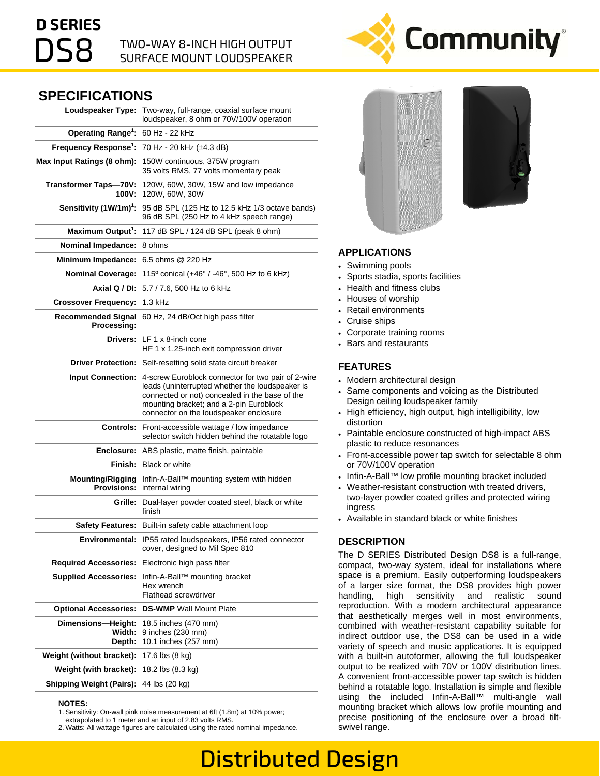# **D SERIES**

# $\mathsf{PSB}$  TWO-WAY 8-INCH HIGH OUTPUT SURFACE MOUNT LOUDSPEAKER

# **SPECIFICATIONS**

| Loudspeaker Type:                             | Two-way, full-range, coaxial surface mount<br>loudspeaker, 8 ohm or 70V/100V operation                                                                                                                                                       |
|-----------------------------------------------|----------------------------------------------------------------------------------------------------------------------------------------------------------------------------------------------------------------------------------------------|
| Operating Range <sup>1</sup> :                | 60 Hz - 22 kHz                                                                                                                                                                                                                               |
| Frequency Response <sup>1</sup> :             | 70 Hz - 20 kHz (±4.3 dB)                                                                                                                                                                                                                     |
| Max Input Ratings (8 ohm):                    | 150W continuous, 375W program<br>35 volts RMS, 77 volts momentary peak                                                                                                                                                                       |
| <b>Transformer Taps-70V:</b><br>100V:         | 120W, 60W, 30W, 15W and low impedance<br>120W, 60W, 30W                                                                                                                                                                                      |
| Sensitivity (1W/1m) <sup>1</sup> :            | 95 dB SPL (125 Hz to 12.5 kHz 1/3 octave bands)<br>96 dB SPL (250 Hz to 4 kHz speech range)                                                                                                                                                  |
| Maximum Output <sup>1</sup> :                 | 117 dB SPL / 124 dB SPL (peak 8 ohm)                                                                                                                                                                                                         |
| Nominal Impedance:                            | 8 ohms                                                                                                                                                                                                                                       |
| <b>Minimum Impedance:</b>                     | 6.5 ohms @ 220 Hz                                                                                                                                                                                                                            |
| <b>Nominal Coverage:</b>                      | 115° conical (+46° / -46°, 500 Hz to 6 kHz)                                                                                                                                                                                                  |
| Axial Q / DI:                                 | 5.7 / 7.6, 500 Hz to 6 kHz                                                                                                                                                                                                                   |
| <b>Crossover Frequency:</b>                   | 1.3 kHz                                                                                                                                                                                                                                      |
| <b>Recommended Signal</b><br>Processing:      | 60 Hz, 24 dB/Oct high pass filter                                                                                                                                                                                                            |
|                                               | <b>Drivers:</b> LF 1 x 8-inch cone<br>HF 1 x 1.25-inch exit compression driver                                                                                                                                                               |
|                                               | Driver Protection: Self-resetting solid state circuit breaker                                                                                                                                                                                |
| <b>Input Connection:</b>                      | 4-screw Euroblock connector for two pair of 2-wire<br>leads (uninterrupted whether the loudspeaker is<br>connected or not) concealed in the base of the<br>mounting bracket; and a 2-pin Euroblock<br>connector on the loudspeaker enclosure |
| <b>Controls:</b>                              | Front-accessible wattage / low impedance<br>selector switch hidden behind the rotatable logo                                                                                                                                                 |
| Enclosure:                                    | ABS plastic, matte finish, paintable                                                                                                                                                                                                         |
|                                               | <b>Finish:</b> Black or white                                                                                                                                                                                                                |
| <b>Mounting/Rigging</b><br><b>Provisions:</b> | Infin-A-Ball™ mounting system with hidden<br>internal wiring                                                                                                                                                                                 |
| Grille:                                       | Dual-layer powder coated steel, black or white<br>finish                                                                                                                                                                                     |
| <b>Safety Features:</b>                       | Built-in safety cable attachment loop                                                                                                                                                                                                        |
| Environmental:                                | IP55 rated loudspeakers, IP56 rated connector<br>cover, designed to Mil Spec 810                                                                                                                                                             |
| <b>Required Accessories:</b>                  | Electronic high pass filter                                                                                                                                                                                                                  |
| <b>Supplied Accessories:</b>                  | Infin-A-Ball™ mounting bracket<br>Hex wrench<br><b>Flathead screwdriver</b>                                                                                                                                                                  |
| <b>Optional Accessories:</b>                  | <b>DS-WMP</b> Wall Mount Plate                                                                                                                                                                                                               |
| Dimensions-Height:<br>Width:<br>Depth:        | 18.5 inches (470 mm)<br>9 inches (230 mm)<br>10.1 inches (257 mm)                                                                                                                                                                            |
| Weight (without bracket):                     | 17.6 lbs (8 kg)                                                                                                                                                                                                                              |
| Weight (with bracket):                        | 18.2 lbs (8.3 kg)                                                                                                                                                                                                                            |
| <b>Shipping Weight (Pairs):</b>               | 44 lbs (20 kg)                                                                                                                                                                                                                               |

#### **NOTES:**

1. Sensitivity: On-wall pink noise measurement at 6ft (1.8m) at 10% power;

extrapolated to 1 meter and an input of 2.83 volts RMS.

2. Watts: All wattage figures are calculated using the rated nominal impedance.





#### **APPLICATIONS**

- Swimming pools
- Sports stadia, sports facilities
- Health and fitness clubs
- Houses of worship
- Retail environments
- Cruise ships
- Corporate training rooms
- Bars and restaurants

### **FEATURES**

- Modern architectural design
- Same components and voicing as the Distributed Design ceiling loudspeaker family
- High efficiency, high output, high intelligibility, low distortion
- Paintable enclosure constructed of high-impact ABS plastic to reduce resonances
- Front-accessible power tap switch for selectable 8 ohm or 70V/100V operation
- Infin-A-Ball™ low profile mounting bracket included
- Weather-resistant construction with treated drivers, two-layer powder coated grilles and protected wiring ingress
- Available in standard black or white finishes

### **DESCRIPTION**

The D SERIES Distributed Design DS8 is a full-range, compact, two-way system, ideal for installations where space is a premium. Easily outperforming loudspeakers of a larger size format, the DS8 provides high power handling, high sensitivity and realistic sound reproduction. With a modern architectural appearance that aesthetically merges well in most environments, combined with weather-resistant capability suitable for indirect outdoor use, the DS8 can be used in a wide variety of speech and music applications. It is equipped with a built-in autoformer, allowing the full loudspeaker output to be realized with 70V or 100V distribution lines. A convenient front-accessible power tap switch is hidden behind a rotatable logo. Installation is simple and flexible using the included Infin-A-Ball™ multi-angle wall mounting bracket which allows low profile mounting and precise positioning of the enclosure over a broad tiltswivel range.

# Distributed Design